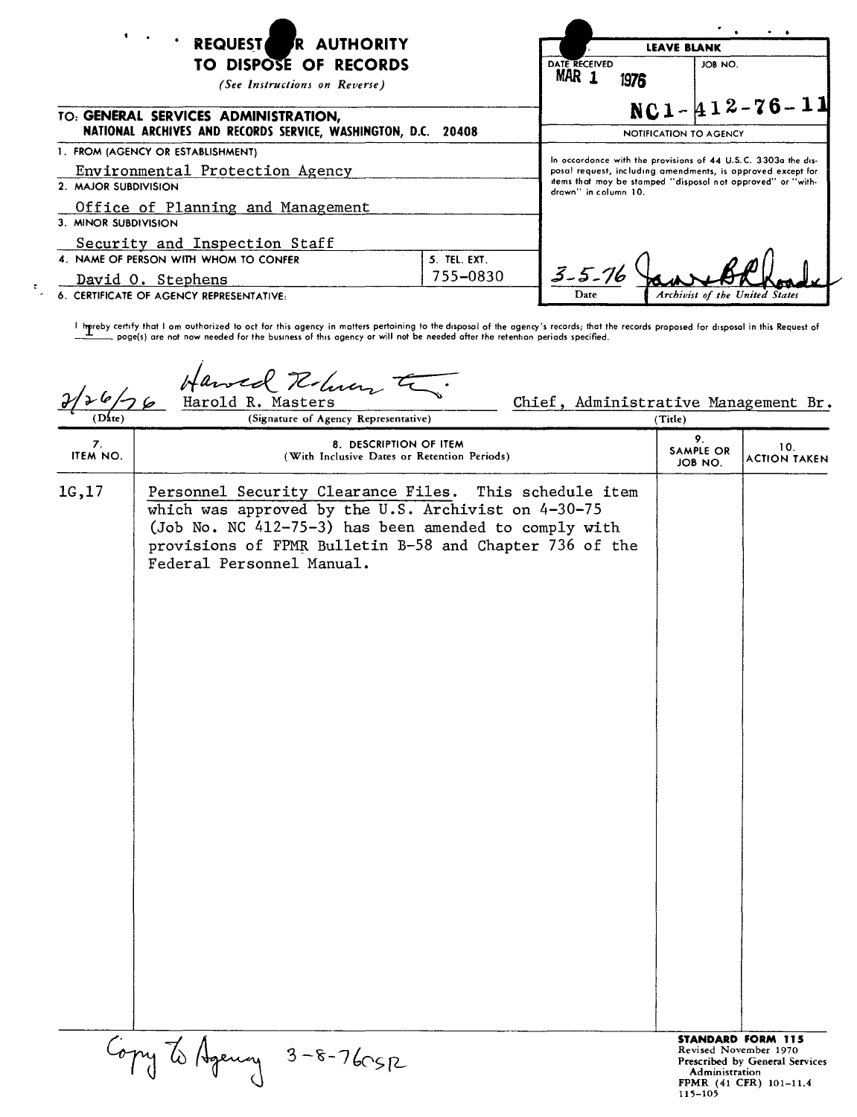| <b>EXECUTEST</b><br>R AUTHORITY<br>TO DISPOSE OF RECORDS<br>(See Instructions on Reverse)<br>TO: GENERAL SERVICES ADMINISTRATION,<br>NATIONAL ARCHIVES AND RECORDS SERVICE, WASHINGTON, D.C. 20408 |                          | $\sim$ $\sim$<br><b>LEAVE BLANK</b>                                                                                                                                                                                 |                                |
|----------------------------------------------------------------------------------------------------------------------------------------------------------------------------------------------------|--------------------------|---------------------------------------------------------------------------------------------------------------------------------------------------------------------------------------------------------------------|--------------------------------|
|                                                                                                                                                                                                    |                          | DATE RECEIVED<br>MAR <sub>1</sub><br>1976                                                                                                                                                                           | JOB NO.                        |
|                                                                                                                                                                                                    |                          | $NC1 - 412 - 76 - 11$<br>NOTIFICATION TO AGENCY                                                                                                                                                                     |                                |
| 1. FROM (AGENCY OR ESTABLISHMENT)<br>Environmental Protection Agency<br>2. MAJOR SUBDIVISION<br>Office of Planning and Management                                                                  |                          | In occordonce with the provisions of 44 U.S.C. 3303a the dis-<br>posal request, including amendments, is approved except for<br>items that moy be stamped "disposal not opproved" or "with-<br>drawn" in column 10. |                                |
| 3. MINOR SUBDIVISION<br>Security and Inspection Staff                                                                                                                                              |                          |                                                                                                                                                                                                                     |                                |
| 4. NAME OF PERSON WITH WHOM TO CONFER<br>David O. Stephens<br>6. CERTIFICATE OF AGENCY REPRESENTATIVE:                                                                                             | 5. TEL. EXT.<br>755-0830 | $3 - 5 - 76$<br>Date                                                                                                                                                                                                | Archivist of the United States |

l hereby certify that I om outhorized to oct for this agency in matters pertoining to the disposal of the agency's records; that the records proposed for disposal in this Request of<br>———— poge(s) are not now needed for the

*tI~7Z'~~*  $2/26/76$ 

 $\tau_{\rm g}$ 

Chief, Administrative Management Br.<br>  $\frac{d}{d\theta}$ 

| (Date)         | (Signature of Agency Representative)                                                                                                                                                                                                                           | (Title)                    |                                                                                                               |
|----------------|----------------------------------------------------------------------------------------------------------------------------------------------------------------------------------------------------------------------------------------------------------------|----------------------------|---------------------------------------------------------------------------------------------------------------|
| 7.<br>ITEM NO. | 8. DESCRIPTION OF ITEM<br>(With Inclusive Dates or Retention Periods)                                                                                                                                                                                          | 9.<br>SAMPLE OR<br>JOB NO. | 10.<br><b>ACTION TAKEN</b>                                                                                    |
| 1G,17          | Personnel Security Clearance Files. This schedule item<br>which was approved by the U.S. Archivist on 4-30-75<br>(Job No. NC 412-75-3) has been amended to comply with<br>provisions of FPMR Bulletin B-58 and Chapter 736 of the<br>Federal Personnel Manual. |                            |                                                                                                               |
|                | Copy to Agency 3-8-760SR                                                                                                                                                                                                                                       | Administration<br>115-105  | <b>STANDARD FORM 115</b><br>Revised November 1970<br>Prescribed by General Services<br>FPMR (41 CFR) 101-11.4 |